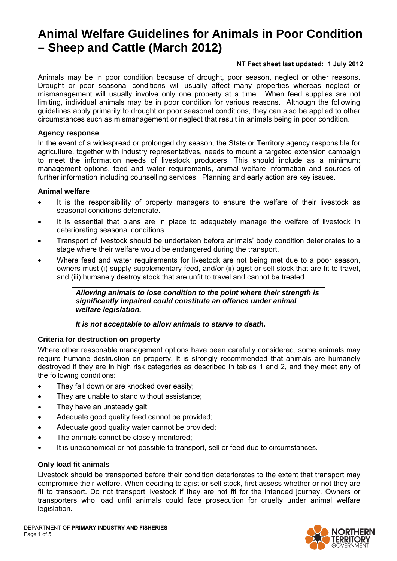# **Animal Welfare Guidelines for Animals in Poor Condition – Sheep and Cattle (March 2012)**

# **NT Fact sheet last updated: 1 July 2012**

Animals may be in poor condition because of drought, poor season, neglect or other reasons. Drought or poor seasonal conditions will usually affect many properties whereas neglect or mismanagement will usually involve only one property at a time. When feed supplies are not limiting, individual animals may be in poor condition for various reasons. Although the following guidelines apply primarily to drought or poor seasonal conditions, they can also be applied to other circumstances such as mismanagement or neglect that result in animals being in poor condition.

# **Agency response**

In the event of a widespread or prolonged dry season, the State or Territory agency responsible for agriculture, together with industry representatives, needs to mount a targeted extension campaign to meet the information needs of livestock producers. This should include as a minimum; management options, feed and water requirements, animal welfare information and sources of further information including counselling services. Planning and early action are key issues.

# **Animal welfare**

- It is the responsibility of property managers to ensure the welfare of their livestock as seasonal conditions deteriorate.
- It is essential that plans are in place to adequately manage the welfare of livestock in deteriorating seasonal conditions.
- Transport of livestock should be undertaken before animals' body condition deteriorates to a stage where their welfare would be endangered during the transport.
- Where feed and water requirements for livestock are not being met due to a poor season, owners must (i) supply supplementary feed, and/or (ii) agist or sell stock that are fit to travel, and (iii) humanely destroy stock that are unfit to travel and cannot be treated.

*Allowing animals to lose condition to the point where their strength is significantly impaired could constitute an offence under animal welfare legislation.* 

*It is not acceptable to allow animals to starve to death.* 

# **Criteria for destruction on property**

Where other reasonable management options have been carefully considered, some animals may require humane destruction on property. It is strongly recommended that animals are humanely destroyed if they are in high risk categories as described in tables 1 and 2, and they meet any of the following conditions:

- They fall down or are knocked over easily;
- They are unable to stand without assistance;
- They have an unsteady gait;
- Adequate good quality feed cannot be provided;
- Adequate good quality water cannot be provided:
- The animals cannot be closely monitored;
- It is uneconomical or not possible to transport, sell or feed due to circumstances.

# **Only load fit animals**

Livestock should be transported before their condition deteriorates to the extent that transport may compromise their welfare. When deciding to agist or sell stock, first assess whether or not they are fit to transport. Do not transport livestock if they are not fit for the intended journey. Owners or transporters who load unfit animals could face prosecution for cruelty under animal welfare legislation.

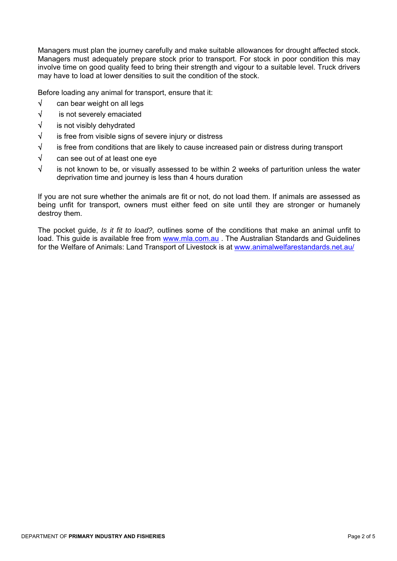Managers must plan the journey carefully and make suitable allowances for drought affected stock. Managers must adequately prepare stock prior to transport. For stock in poor condition this may involve time on good quality feed to bring their strength and vigour to a suitable level. Truck drivers may have to load at lower densities to suit the condition of the stock.

Before loading any animal for transport, ensure that it:

- √ can bear weight on all legs
- √ is not severely emaciated
- √ is not visibly dehydrated
- $\sqrt{\phantom{a}}$  is free from visible signs of severe injury or distress
- $\sqrt{\phantom{a}}$  is free from conditions that are likely to cause increased pain or distress during transport
- √ can see out of at least one eye
- $\sqrt{\phantom{a}}$  is not known to be, or visually assessed to be within 2 weeks of parturition unless the water deprivation time and journey is less than 4 hours duration

If you are not sure whether the animals are fit or not, do not load them. If animals are assessed as being unfit for transport, owners must either feed on site until they are stronger or humanely destroy them.

The pocket guide, *Is it fit to load?,* outlines some of the conditions that make an animal unfit to load. This guide is available free from www.mla.com.au . The Australian Standards and Guidelines for the Welfare of Animals: Land Transport of Livestock is at www.animalwelfarestandards.net.au/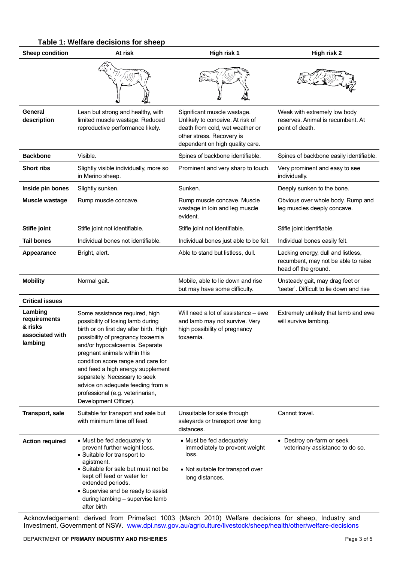| Table 1: Welfare decisions for sheep |  |
|--------------------------------------|--|
|--------------------------------------|--|

| <b>Sheep condition</b>                                           | At risk                                                                                                                                                                                                                                                                                                                                                                                                                             | High risk 1                                                                                                                                                        | High risk 2                                                                                       |
|------------------------------------------------------------------|-------------------------------------------------------------------------------------------------------------------------------------------------------------------------------------------------------------------------------------------------------------------------------------------------------------------------------------------------------------------------------------------------------------------------------------|--------------------------------------------------------------------------------------------------------------------------------------------------------------------|---------------------------------------------------------------------------------------------------|
|                                                                  |                                                                                                                                                                                                                                                                                                                                                                                                                                     |                                                                                                                                                                    |                                                                                                   |
| General<br>description                                           | Lean but strong and healthy, with<br>limited muscle wastage. Reduced<br>reproductive performance likely.                                                                                                                                                                                                                                                                                                                            | Significant muscle wastage.<br>Unlikely to conceive. At risk of<br>death from cold, wet weather or<br>other stress. Recovery is<br>dependent on high quality care. | Weak with extremely low body<br>reserves. Animal is recumbent. At<br>point of death.              |
| <b>Backbone</b>                                                  | Visible.                                                                                                                                                                                                                                                                                                                                                                                                                            | Spines of backbone identifiable.                                                                                                                                   | Spines of backbone easily identifiable.                                                           |
| <b>Short ribs</b>                                                | Slightly visible individually, more so<br>in Merino sheep.                                                                                                                                                                                                                                                                                                                                                                          | Prominent and very sharp to touch.                                                                                                                                 | Very prominent and easy to see<br>individually.                                                   |
| Inside pin bones                                                 | Slightly sunken.                                                                                                                                                                                                                                                                                                                                                                                                                    | Sunken.                                                                                                                                                            | Deeply sunken to the bone.                                                                        |
| Muscle wastage                                                   | Rump muscle concave.                                                                                                                                                                                                                                                                                                                                                                                                                | Rump muscle concave. Muscle<br>wastage in loin and leg muscle<br>evident.                                                                                          | Obvious over whole body. Rump and<br>leg muscles deeply concave.                                  |
| Stifle joint                                                     | Stifle joint not identifiable.                                                                                                                                                                                                                                                                                                                                                                                                      | Stifle joint not identifiable.                                                                                                                                     | Stifle joint identifiable.                                                                        |
| <b>Tail bones</b>                                                | Individual bones not identifiable.                                                                                                                                                                                                                                                                                                                                                                                                  | Individual bones just able to be felt.                                                                                                                             | Individual bones easily felt.                                                                     |
| Appearance                                                       | Bright, alert.                                                                                                                                                                                                                                                                                                                                                                                                                      | Able to stand but listless, dull.                                                                                                                                  | Lacking energy, dull and listless,<br>recumbent, may not be able to raise<br>head off the ground. |
| <b>Mobility</b>                                                  | Normal gait.                                                                                                                                                                                                                                                                                                                                                                                                                        | Mobile, able to lie down and rise<br>but may have some difficulty.                                                                                                 | Unsteady gait, may drag feet or<br>'teeter'. Difficult to lie down and rise                       |
| <b>Critical issues</b>                                           |                                                                                                                                                                                                                                                                                                                                                                                                                                     |                                                                                                                                                                    |                                                                                                   |
| Lambing<br>requirements<br>& risks<br>associated with<br>lambing | Some assistance required, high<br>possibility of losing lamb during<br>birth or on first day after birth. High<br>possibility of pregnancy toxaemia<br>and/or hypocalcaemia. Separate<br>pregnant animals within this<br>condition score range and care for<br>and feed a high energy supplement<br>separately. Necessary to seek<br>advice on adequate feeding from a<br>professional (e.g. veterinarian,<br>Development Officer). | Will need a lot of assistance – ewe<br>and lamb may not survive. Very<br>high possibility of pregnancy<br>toxaemia.                                                | Extremely unlikely that lamb and ewe<br>will survive lambing.                                     |
| Transport, sale                                                  | Suitable for transport and sale but<br>with minimum time off feed.                                                                                                                                                                                                                                                                                                                                                                  | Unsuitable for sale through<br>saleyards or transport over long<br>distances.                                                                                      | Cannot travel.                                                                                    |
| <b>Action required</b>                                           | • Must be fed adequately to<br>prevent further weight loss.<br>• Suitable for transport to<br>agistment.<br>• Suitable for sale but must not be<br>kept off feed or water for<br>extended periods.<br>• Supervise and be ready to assist<br>during lambing - supervise lamb<br>after birth                                                                                                                                          | • Must be fed adequately<br>immediately to prevent weight<br>loss.<br>• Not suitable for transport over<br>long distances.                                         | • Destroy on-farm or seek<br>veterinary assistance to do so.                                      |

Acknowledgement: derived from Primefact 1003 (March 2010) Welfare decisions for sheep, Industry and Investment, Government of NSW. www.dpi.nsw.gov.au/agriculture/livestock/sheep/health/other/welfare-decisions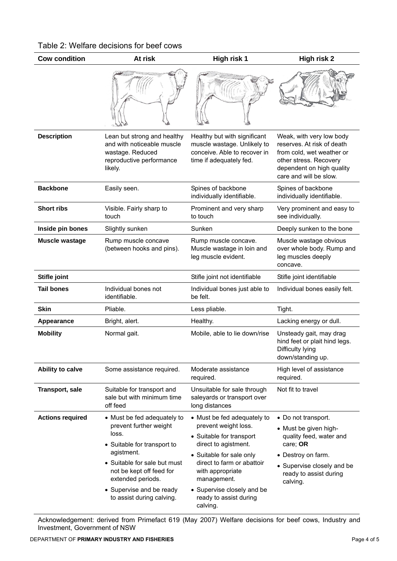| Table 2: Welfare decisions for beef cows |  |  |
|------------------------------------------|--|--|
|------------------------------------------|--|--|

| <b>Cow condition</b>    | At risk                                                                                                                                                                                                                                               | High risk 1                                                                                                                                                                                                                                                              | High risk 2                                                                                                                                                                   |
|-------------------------|-------------------------------------------------------------------------------------------------------------------------------------------------------------------------------------------------------------------------------------------------------|--------------------------------------------------------------------------------------------------------------------------------------------------------------------------------------------------------------------------------------------------------------------------|-------------------------------------------------------------------------------------------------------------------------------------------------------------------------------|
|                         |                                                                                                                                                                                                                                                       |                                                                                                                                                                                                                                                                          |                                                                                                                                                                               |
| <b>Description</b>      | Lean but strong and healthy<br>and with noticeable muscle<br>wastage. Reduced<br>reproductive performance<br>likely.                                                                                                                                  | Healthy but with significant<br>muscle wastage. Unlikely to<br>conceive. Able to recover in<br>time if adequately fed.                                                                                                                                                   | Weak, with very low body<br>reserves. At risk of death<br>from cold, wet weather or<br>other stress. Recovery<br>dependent on high quality<br>care and will be slow.          |
| <b>Backbone</b>         | Easily seen.                                                                                                                                                                                                                                          | Spines of backbone<br>individually identifiable.                                                                                                                                                                                                                         | Spines of backbone<br>individually identifiable.                                                                                                                              |
| <b>Short ribs</b>       | Visible. Fairly sharp to<br>touch                                                                                                                                                                                                                     | Prominent and very sharp<br>to touch                                                                                                                                                                                                                                     | Very prominent and easy to<br>see individually.                                                                                                                               |
| Inside pin bones        | Slightly sunken                                                                                                                                                                                                                                       | Sunken                                                                                                                                                                                                                                                                   | Deeply sunken to the bone                                                                                                                                                     |
| <b>Muscle wastage</b>   | Rump muscle concave<br>(between hooks and pins).                                                                                                                                                                                                      | Rump muscle concave.<br>Muscle wastage in loin and<br>leg muscle evident.                                                                                                                                                                                                | Muscle wastage obvious<br>over whole body. Rump and<br>leg muscles deeply<br>concave.                                                                                         |
| Stifle joint            |                                                                                                                                                                                                                                                       | Stifle joint not identifiable                                                                                                                                                                                                                                            | Stifle joint identifiable                                                                                                                                                     |
| <b>Tail bones</b>       | Individual bones not<br>identifiable.                                                                                                                                                                                                                 | Individual bones just able to<br>be felt.                                                                                                                                                                                                                                | Individual bones easily felt.                                                                                                                                                 |
| <b>Skin</b>             | Pliable.                                                                                                                                                                                                                                              | Less pliable.                                                                                                                                                                                                                                                            | Tight.                                                                                                                                                                        |
| Appearance              | Bright, alert.                                                                                                                                                                                                                                        | Healthy.                                                                                                                                                                                                                                                                 | Lacking energy or dull.                                                                                                                                                       |
| <b>Mobility</b>         | Normal gait.                                                                                                                                                                                                                                          | Mobile, able to lie down/rise                                                                                                                                                                                                                                            | Unsteady gait, may drag<br>hind feet or plait hind legs.<br>Difficulty lying<br>down/standing up.                                                                             |
| Ability to calve        | Some assistance required.                                                                                                                                                                                                                             | Moderate assistance<br>required.                                                                                                                                                                                                                                         | High level of assistance<br>required.                                                                                                                                         |
| Transport, sale         | Suitable for transport and<br>sale but with minimum time<br>off feed                                                                                                                                                                                  | Unsuitable for sale through<br>saleyards or transport over<br>long distances                                                                                                                                                                                             | Not fit to travel                                                                                                                                                             |
| <b>Actions required</b> | • Must be fed adequately to<br>prevent further weight<br>loss.<br>• Suitable for transport to<br>agistment.<br>• Suitable for sale but must<br>not be kept off feed for<br>extended periods.<br>• Supervise and be ready<br>to assist during calving. | • Must be fed adequately to<br>prevent weight loss.<br>• Suitable for transport<br>direct to agistment.<br>• Suitable for sale only<br>direct to farm or abattoir<br>with appropriate<br>management.<br>• Supervise closely and be<br>ready to assist during<br>calving. | • Do not transport.<br>• Must be given high-<br>quality feed, water and<br>care; OR<br>• Destroy on farm.<br>• Supervise closely and be<br>ready to assist during<br>calving. |

Acknowledgement: derived from Primefact 619 (May 2007) Welfare decisions for beef cows, Industry and Investment, Government of NSW